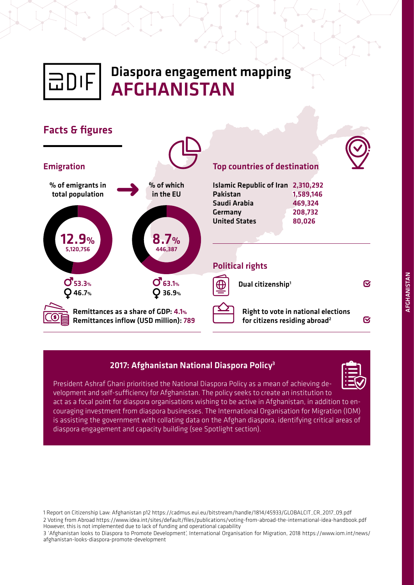

# Diaspora engagement mapping AFGHANISTAN



# 2017: Afghanistan National Diaspora Policy<sup>3</sup>

President Ashraf Ghani prioritised the National Diaspora Policy as a mean of achieving development and self-sufficiency for Afghanistan. The policy seeks to create an institution to act as a focal point for diaspora organisations wishing to be active in Afghanistan, in addition to encouraging investment from diaspora businesses. The International Organisation for Migration (IOM) is assisting the government with collating data on the Afghan diaspora, identifying critical areas of diaspora engagement and capacity building (see Spotlight section).

1 Report on Citizenship Law: Afghanistan p12 https://cadmus.eui.eu/bitstream/handle/1814/45933/GLOBALCIT\_CR\_2017\_09.pdf 2 Voting from Abroad https://www.idea.int/sites/default/files/publications/voting-from-abroad-the-international-idea-handbook.pdf However, this is not implemented due to lack of funding and operational capability

3 'Afghanistan looks to Diaspora to Promote Development', International Organisation for Migration, 2018 https://www.iom.int/news/ afghanistan-looks-diaspora-promote-development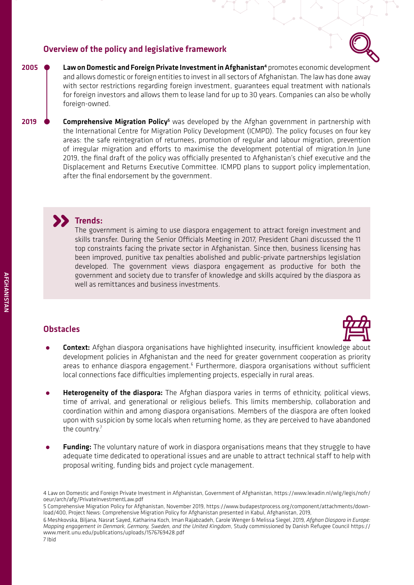## Overview of the policy and legislative framework



**•** Law on Domestic and Foreign Private Investment in Afghanistan<sup>4</sup><br>and allows domestic or foreign entities to invest in all sectors of Af promotes economic development and allows domestic or foreign entities to invest in all sectors of Afghanistan. The law has done away with sector restrictions regarding foreign investment, guarantees equal treatment with nationals for foreign investors and allows them to lease land for up to 30 years. Companies can also be wholly foreign-owned.

**↓**<br>**•** Comprehensive Migration Policy<sup>5</sup><br>the International Centre for Migrat was developed by the Afghan government in partnership with the International Centre for Migration Policy Development (ICMPD). The policy focuses on four key areas: the safe reintegration of returnees, promotion of regular and labour migration, prevention of irregular migration and efforts to maximise the development potential of migration.In June 2019, the final draft of the policy was officially presented to Afghanistan's chief executive and the Displacement and Returns Executive Committee. ICMPD plans to support policy implementation, after the final endorsement by the government. 2019

# **Trends:**

The government is aiming to use diaspora engagement to attract foreign investment and skills transfer. During the Senior Officials Meeting in 2017, President Ghani discussed the 11 top constraints facing the private sector in Afghanistan. Since then, business licensing has been improved, punitive tax penalties abolished and public-private partnerships legislation developed. The government views diaspora engagement as productive for both the government and society due to transfer of knowledge and skills acquired by the diaspora as well as remittances and business investments.

# **Obstacles**



- **Context:** Afghan diaspora organisations have highlighted insecurity, insufficient knowledge about development policies in Afghanistan and the need for greater government cooperation as priority areas to enhance diaspora engagement.<sup>6</sup> Furthermore, diaspora organisations without sufficient local connections face difficulties implementing projects, especially in rural areas.
- **Heterogeneity of the diaspora:** The Afghan diaspora varies in terms of ethnicity, political views, time of arrival, and generational or religious beliefs. This limits membership, collaboration and coordination within and among diaspora organisations. Members of the diaspora are often looked upon with suspicion by some locals when returning home, as they are perceived to have abandoned the country.<sup>7</sup>
- **Funding:** The voluntary nature of work in diaspora organisations means that they struggle to have adequate time dedicated to operational issues and are unable to attract technical staff to help with proposal writing, funding bids and project cycle management.

2005

<sup>4</sup> Law on Domestic and Foreign Private Investment in Afghanistan, Government of Afghanistan, [https://www.lexadin.nl/wlg/legis/nofr/](https://www.lexadin.nl/wlg/legis/nofr/oeur/arch/afg/PrivateInvestmentLaw.pdf) [oeur/arch/afg/PrivateInvestmentLaw.pdf](https://www.lexadin.nl/wlg/legis/nofr/oeur/arch/afg/PrivateInvestmentLaw.pdf)

<sup>5</sup> Comprehensive Migration Policy for Afghanistan, November 2019, [https://www.budapestprocess.org/component/attachments/down](https://www.budapestprocess.org/component/attachments/download/400)[load/400,](https://www.budapestprocess.org/component/attachments/download/400) Project News: Comprehensive Migration Policy for Afghanistan presented in Kabul, Afghanistan, 2019,

<sup>6</sup> Meshkovska, Biljana, Nasrat Sayed, Katharina Koch, Iman Rajabzadeh, Carole Wenger & Melissa Siegel, 2019, *Afghan Diaspora in Europe: Mapping engagement in Denmark, Germany, Sweden, and the United Kingdom*, Study commissioned by Danish Refugee Council [https://](https://www.merit.unu.edu/publications/uploads/1576769428.pdf) [www.merit.unu.edu/publications/uploads/1576769428.pdf](https://www.merit.unu.edu/publications/uploads/1576769428.pdf)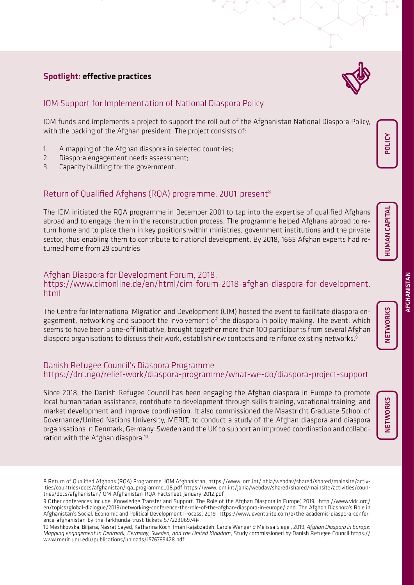# Spotlight: effective practices



# IOM Support for Implementation of National Diaspora Policy

IOM funds and implements a project to support the roll out of the Afghanistan National Diaspora Policy, with the backing of the Afghan president. The project consists of:

- 1. A mapping of the Afghan diaspora in selected countries;
- 2. Diaspora engagement needs assessment;
- 3. Capacity building for the government.

# Return of Qualified Afghans (RQA) programme, 2001-present<sup>8</sup>

The IOM initiated the RQA programme in December 2001 to tap into the expertise of qualified Afghans abroad and to engage them in the reconstruction process. The programme helped Afghans abroad to return home and to place them in key positions within ministries, government institutions and the private sector, thus enabling them to contribute to national development. By 2018, 1665 Afghan experts had returned home from 29 countries.

## Afghan Diaspora for Development Forum, 2018. [https://www.cimonline.de/en/html/cim-forum-2018-afghan-diaspora-for-development.](https://www.cimonline.de/en/html/cim-forum-2018-afghan-diaspora-for-development.html) [html](https://www.cimonline.de/en/html/cim-forum-2018-afghan-diaspora-for-development.html)

The Centre for International Migration and Development (CIM) hosted the event to facilitate diaspora engagement, networking and support the involvement of the diaspora in policy making. The event, which seems to have been a one-off initiative, brought together more than 100 participants from several Afghan diaspora organisations to discuss their work, establish new contacts and reinforce existing networks.<sup>9</sup>

## Danish Refugee Council's Diaspora Programme <https://drc.ngo/relief-work/diaspora-programme/what-we-do/diaspora-project-support>

Since 2018, the Danish Refugee Council has been engaging the Afghan diaspora in Europe to promote local humanitarian assistance, contribute to development through skills training, vocational training, and market development and improve coordination. It also commissioned the Maastricht Graduate School of Governance/United Nations University, MERIT, to conduct a study of the Afghan diaspora and diaspora organisations in Denmark, Germany, Sweden and the UK to support an improved coordination and collaboration with the Afghan diaspora.10

NETWORKS

**NETWORKS** 

NETWORKS NETWORKS

<sup>8</sup> Return of Qualified Afghans (RQA) Programme, IOM Afghanistan, [https://www.iom.int/jahia/webdav/shared/shared/mainsite/activ](https://www.iom.int/jahia/webdav/shared/shared/mainsite/activities/countries/docs/afghanistan/rqa_programme_08.pdf)[ities/countries/docs/afghanistan/rqa\\_programme\\_08.pdf](https://www.iom.int/jahia/webdav/shared/shared/mainsite/activities/countries/docs/afghanistan/rqa_programme_08.pdf) [https://www.iom.int/jahia/webdav/shared/shared/mainsite/activities/coun](https://www.iom.int/jahia/webdav/shared/shared/mainsite/activities/countries/docs/afghanistan/IOM-Afghanistan-RQA-Factsheet-January-2012.pdf)[tries/docs/afghanistan/IOM-Afghanistan-RQA-Factsheet-January-2012.pdf](https://www.iom.int/jahia/webdav/shared/shared/mainsite/activities/countries/docs/afghanistan/IOM-Afghanistan-RQA-Factsheet-January-2012.pdf) 

<sup>9</sup> Other conferences include 'Knowledge Transfer and Support. The Role of the Afghan Diaspora in Europe', 2019. [http://www.vidc.org/](http://www.vidc.org/en/topics/global-dialogue/2019/networking-conference-the-role-of-the-afghan-diaspora-in-europe/) [en/topics/global-dialogue/2019/networking-conference-the-role-of-the-afghan-diaspora-in-europe/](http://www.vidc.org/en/topics/global-dialogue/2019/networking-conference-the-role-of-the-afghan-diaspora-in-europe/) and 'The Afghan Diaspora's Role in Afghanistan's Social, Economic and Political Development Process', 2019 [https://www.eventbrite.com/e/the-academic-diaspora-confer](https://www.eventbrite.com/e/the-academic-diaspora-conference-afghanistan-by-the-farkhunda-trust-tickets-57722306974)[ence-afghanistan-by-the-farkhunda-trust-tickets-57722306974#](https://www.eventbrite.com/e/the-academic-diaspora-conference-afghanistan-by-the-farkhunda-trust-tickets-57722306974)

<sup>10</sup> Meshkovska, Biljana, Nasrat Sayed, Katharina Koch, Iman Rajabzadeh, Carole Wenger & Melissa Siegel, 2019, *Afghan Diaspora in Europe: Mapping engagement in Denmark, Germany, Sweden, and the United Kingdom*, Study commissioned by Danish Refugee Council [https://](https://www.merit.unu.edu/publications/uploads/1576769428.pdf) [www.merit.unu.edu/publications/uploads/1576769428.pdf](https://www.merit.unu.edu/publications/uploads/1576769428.pdf)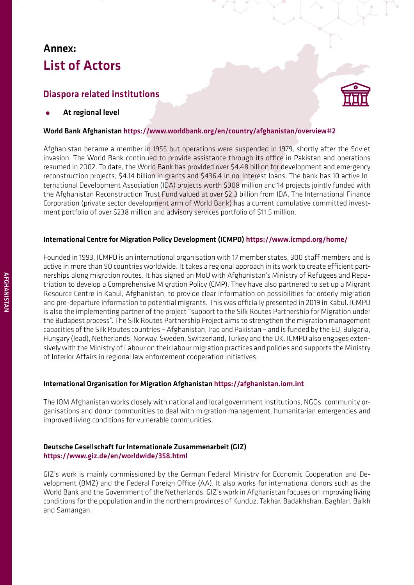# Annex: List of Actors

# Diaspora related institutions

*•* At regional level

#### World Bank Afghanistan https://www.worldbank.org/en/country/afghanistan/overview#2

Afghanistan became a member in 1955 but operations were suspended in 1979, shortly after the Soviet invasion. The World Bank continued to provide assistance through its office in Pakistan and operations resumed in 2002. To date, the World Bank has provided over \$4.48 billion for development and emergency reconstruction projects, \$4.14 billion in grants and \$436.4 in no-interest loans. The bank has 10 active International Development Association (IDA) projects worth \$908 million and 14 projects jointly funded with the Afghanistan Reconstruction Trust Fund valued at over \$2.3 billion from IDA. The International Finance Corporation (private sector development arm of World Bank) has a current cumulative committed investment portfolio of over \$238 million and advisory services portfolio of \$11.5 million.

#### International Centre for Migration Policy Development (ICMPD) <https://www.icmpd.org/home/>

Founded in 1993, ICMPD is an international organisation with 17 member states, 300 staff members and is active in more than 90 countries worldwide. It takes a regional approach in its work to create efficient partnerships along migration routes. It has signed an MoU with Afghanistan's Ministry of Refugees and Repatriation to develop a Comprehensive Migration Policy (CMP). They have also partnered to set up a Migrant Resource Centre in Kabul, Afghanistan, to provide clear information on possibilities for orderly migration and pre-departure information to potential migrants. This was officially presented in 2019 in Kabul. ICMPD is also the implementing partner of the project "support to the Silk Routes Partnership for Migration under the Budapest process". The Silk Routes Partnership Project aims to strengthen the migration management capacities of the Silk Routes countries – Afghanistan, Iraq and Pakistan – and is funded by the EU, Bulgaria, Hungary (lead), Netherlands, Norway, Sweden, Switzerland, Turkey and the UK. ICMPD also engages extensively with the Ministry of Labour on their labour migration practices and policies and supports the Ministry of Interior Affairs in regional law enforcement cooperation initiatives.

#### International Organisation for Migration Afghanistan <https://afghanistan.iom.int>

The IOM Afghanistan works closely with national and local government institutions, NGOs, community organisations and donor communities to deal with migration management, humanitarian emergencies and improved living conditions for vulnerable communities.

#### Deutsche Gesellschaft fur Internationale Zusammenarbeit (GIZ) <https://www.giz.de/en/worldwide/358.html>

GIZ's work is mainly commissioned by the German Federal Ministry for Economic Cooperation and Development (BMZ) and the Federal Foreign Office (AA). It also works for international donors such as the World Bank and the Government of the Netherlands. GIZ's work in Afghanistan focuses on improving living conditions for the population and in the northern provinces of Kunduz, Takhar, Badakhshan, Baghlan, Balkh and Samangan.

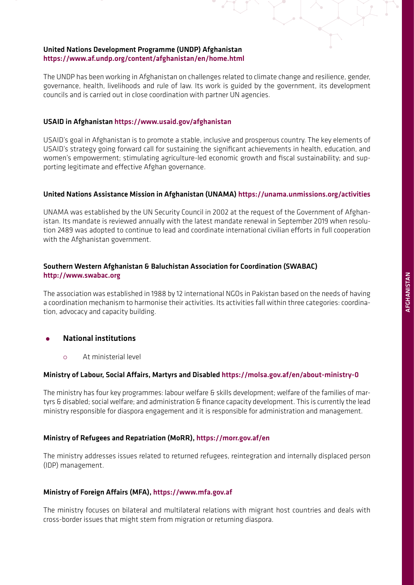#### United Nations Development Programme (UNDP) Afghanistan <https://www.af.undp.org/content/afghanistan/en/home.html>

The UNDP has been working in Afghanistan on challenges related to climate change and resilience, gender, governance, health, livelihoods and rule of law. Its work is guided by the government, its development councils and is carried out in close coordination with partner UN agencies.

#### USAID in Afghanistan <https://www.usaid.gov/afghanistan>

USAID's goal in Afghanistan is to promote a stable, inclusive and prosperous country. The key elements of USAID's strategy going forward call for sustaining the significant achievements in health, education, and women's empowerment; stimulating agriculture-led economic growth and fiscal sustainability; and supporting legitimate and effective Afghan governance.

#### United Nations Assistance Mission in Afghanistan (UNAMA) <https://unama.unmissions.org/activities>

UNAMA was established by the UN Security Council in 2002 at the request of the Government of Afghanistan. Its mandate is reviewed annually with the latest mandate renewal in September 2019 when resolution 2489 was adopted to continue to lead and coordinate international civilian efforts in full cooperation with the Afghanistan government.

### Southern Western Afghanistan & Baluchistan Association for Coordination (SWABAC) <http://www.swabac.org>

The association was established in 1988 by 12 international NGOs in Pakistan based on the needs of having a coordination mechanism to harmonise their activities. Its activities fall within three categories: coordination, advocacy and capacity building.

#### *•* National institutions

{ At ministerial level

#### Ministry of Labour, Social Affairs, Martyrs and Disabled <https://molsa.gov.af/en/about-ministry-0>

The ministry has four key programmes: labour welfare & skills development; welfare of the families of martyrs & disabled; social welfare; and administration & finance capacity development. This is currently the lead ministry responsible for diaspora engagement and it is responsible for administration and management.

#### Ministry of Refugees and Repatriation (MoRR), <https://morr.gov.af/en>

The ministry addresses issues related to returned refugees, reintegration and internally displaced person (IDP) management.

#### Ministry of Foreign Affairs (MFA),<https://www.mfa.gov.af>

The ministry focuses on bilateral and multilateral relations with migrant host countries and deals with cross-border issues that might stem from migration or returning diaspora.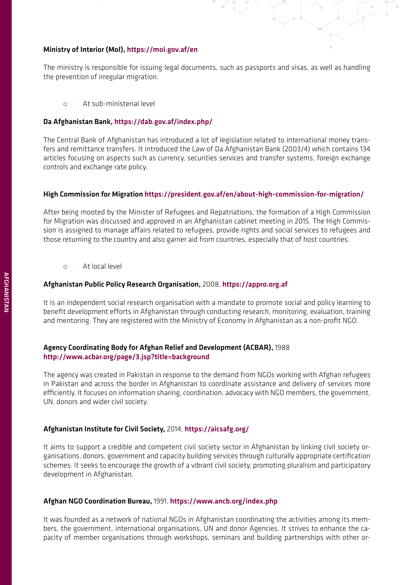#### Ministry of Interior (MoI), <https://moi.gov.af/en>

The ministry is responsible for issuing legal documents, such as passports and visas, as well as handling the prevention of irregular migration.

{ At sub-ministerial level

#### Da Afghanistan Bank,<https://dab.gov.af/index.php/>

The Central Bank of Afghanistan has introduced a lot of legislation related to international money transfers and remittance transfers. It introduced the Law of Da Afghanistan Bank (2003/4) which contains 134 articles focusing on aspects such as currency, securities services and transfer systems, foreign exchange controls and exchange rate policy.

#### High Commission for Migration<https://president.gov.af/en/about-high-commission-for-migration/>

After being mooted by the Minister of Refugees and Repatriations, the formation of a High Commission for Migration was discussed and approved in an Afghanistan cabinet meeting in 2015. The High Commission is assigned to manage affairs related to refugees, provide rights and social services to refugees and those returning to the country and also garner aid from countries, especially that of host countries.

 $\alpha$  At local level

#### Afghanistan Public Policy Research Organisation, 2008, <https://appro.org.af>

It is an independent social research organisation with a mandate to promote social and policy learning to benefit development efforts in Afghanistan through conducting research, monitoring, evaluation, training and mentoring. They are registered with the Ministry of Economy in Afghanistan as a non-profit NGO.

#### Agency Coordinating Body for Afghan Relief and Development (ACBAR), 1988 <http://www.acbar.org/page/3.jsp?title=background>

The agency was created in Pakistan in response to the demand from NGOs working with Afghan refugees in Pakistan and across the border in Afghanistan to coordinate assistance and delivery of services more efficiently. It focuses on information sharing, coordination, advocacy with NGO members, the government, UN, donors and wider civil society.

#### Afghanistan Institute for Civil Society, 2014, <https://aicsafg.org/>

It aims to support a credible and competent civil society sector in Afghanistan by linking civil society organisations, donors, government and capacity building services through culturally appropriate certification schemes. It seeks to encourage the growth of a vibrant civil society, promoting pluralism and participatory development in Afghanistan.

#### Afghan NGO Coordination Bureau, 1991, <https://www.ancb.org/index.php>

It was founded as a network of national NGOs in Afghanistan coordinating the activities among its members, the government, international organisations, UN and donor Agencies. It strives to enhance the capacity of member organisations through workshops, seminars and building partnerships with other or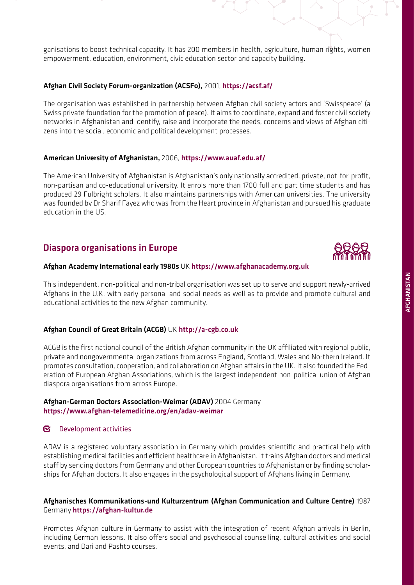ganisations to boost technical capacity. It has 200 members in health, agriculture, human rights, women empowerment, education, environment, civic education sector and capacity building.

#### Afghan Civil Society Forum-organization (ACSFo), 2001, <https://acsf.af/>

The organisation was established in partnership between Afghan civil society actors and 'Swisspeace' (a Swiss private foundation for the promotion of peace). It aims to coordinate, expand and foster civil society networks in Afghanistan and identify, raise and incorporate the needs, concerns and views of Afghan citizens into the social, economic and political development processes.

#### American University of Afghanistan, 2006, <https://www.auaf.edu.af/>

The American University of Afghanistan is Afghanistan's only nationally accredited, private, not-for-profit, non-partisan and co-educational university. It enrols more than 1700 full and part time students and has produced 29 Fulbright scholars. It also maintains partnerships with American universities. The university was founded by Dr Sharif Fayez who was from the Heart province in Afghanistan and pursued his graduate education in the US.

# Diaspora organisations in Europe

#### Afghan Academy International early 1980s UK <https://www.afghanacademy.org.uk>

This independent, non-political and non-tribal organisation was set up to serve and support newly-arrived Afghans in the U.K. with early personal and social needs as well as to provide and promote cultural and educational activities to the new Afghan community.

#### Afghan Council of Great Britain (ACGB) UK <http://a-cgb.co.uk>

ACGB is the first national council of the British Afghan community in the UK affiliated with regional public, private and nongovernmental organizations from across England, Scotland, Wales and Northern Ireland. It promotes consultation, cooperation, and collaboration on Afghan affairs in the UK. It also founded the Federation of European Afghan Associations, which is the largest independent non-political union of Afghan diaspora organisations from across Europe.

#### Afghan-German Doctors Association-Weimar (ADAV) 2004 Germany <https://www.afghan-telemedicine.org/en/adav-weimar>

#### $\boxtimes$  Development activities

ADAV is a registered voluntary association in Germany which provides scientific and practical help with establishing medical facilities and efficient healthcare in Afghanistan. It trains Afghan doctors and medical staff by sending doctors from Germany and other European countries to Afghanistan or by finding scholarships for Afghan doctors. It also engages in the psychological support of Afghans living in Germany.

#### Afghanisches Kommunikations-und Kulturzentrum (Afghan Communication and Culture Centre) 1987 Germany <https://afghan-kultur.de>

Promotes Afghan culture in Germany to assist with the integration of recent Afghan arrivals in Berlin, including German lessons. It also offers social and psychosocial counselling, cultural activities and social events, and Dari and Pashto courses.

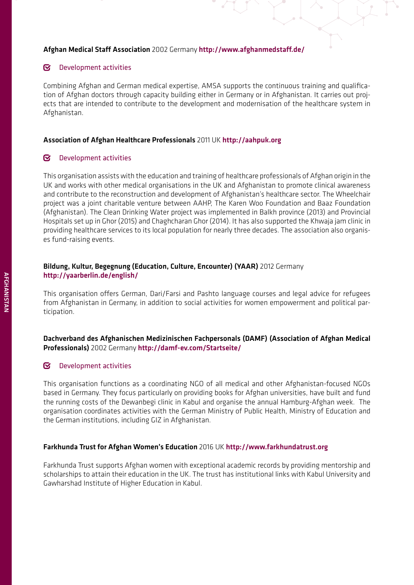#### Afghan Medical Staff Association 2002 Germany <http://www.afghanmedstaff.de/>

#### $\boldsymbol{\nabla}$ Development activities

Combining Afghan and German medical expertise, AMSA supports the continuous training and qualification of Afghan doctors through capacity building either in Germany or in Afghanistan. It carries out projects that are intended to contribute to the development and modernisation of the healthcare system in Afghanistan.

#### Association of Afghan Healthcare Professionals 2011 UK <http://aahpuk.org>

#### **N** Development activities

This organisation assists with the education and training of healthcare professionals of Afghan origin in the UK and works with other medical organisations in the UK and Afghanistan to promote clinical awareness and contribute to the reconstruction and development of Afghanistan's healthcare sector. The Wheelchair project was a joint charitable venture between AAHP, The Karen Woo Foundation and Baaz Foundation (Afghanistan). The Clean Drinking Water project was implemented in Balkh province (2013) and Provincial Hospitals set up in Ghor (2015) and Chaghcharan Ghor (2014). It has also supported the Khwaja jam clinic in providing healthcare services to its local population for nearly three decades. The association also organises fund-raising events.

#### Bildung, Kultur, Begegnung (Education, Culture, Encounter) (YAAR) 2012 Germany <http://yaarberlin.de/english/>

This organisation offers German, Dari/Farsi and Pashto language courses and legal advice for refugees from Afghanistan in Germany, in addition to social activities for women empowerment and political participation.

#### Dachverband des Afghanischen Medizinischen Fachpersonals (DAMF) (Association of Afghan Medical Professionals) 2002 Germany <http://damf-ev.com/Startseite/>

#### $\overline{\mathbf{S}}$ Development activities

This organisation functions as a coordinating NGO of all medical and other Afghanistan-focused NGOs based in Germany. They focus particularly on providing books for Afghan universities, have built and fund the running costs of the Dewanbegi clinic in Kabul and organise the annual Hamburg-Afghan week. The organisation coordinates activities with the German Ministry of Public Health, Ministry of Education and the German institutions, including GIZ in Afghanistan.

#### Farkhunda Trust for Afghan Women's Education 2016 UK <http://www.farkhundatrust.org>

Farkhunda Trust supports Afghan women with exceptional academic records by providing mentorship and scholarships to attain their education in the UK. The trust has institutional links with Kabul University and Gawharshad Institute of Higher Education in Kabul.